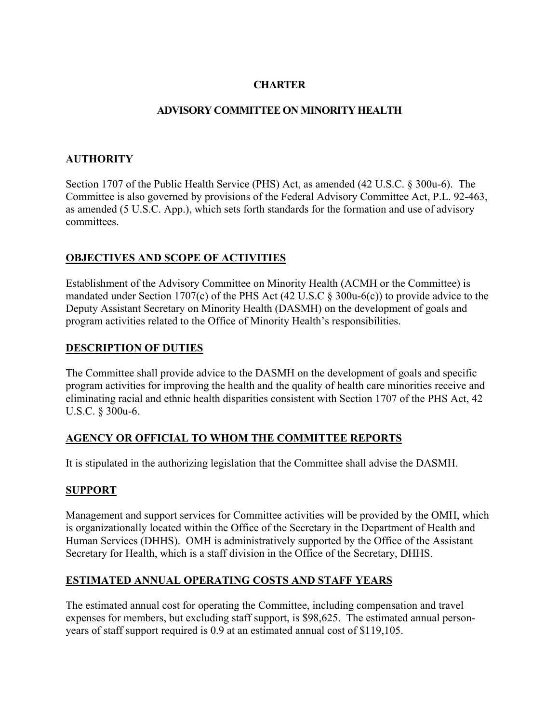# **CHARTER**

### **ADVISORY COMMITTEE ON MINORITY HEALTH**

### **AUTHORITY**

Section 1707 of the Public Health Service (PHS) Act, as amended (42 U.S.C. § 300u-6). The Committee is also governed by provisions of the Federal Advisory Committee Act, P.L. 92-463, as amended (5 U.S.C. App.), which sets forth standards for the formation and use of advisory committees.

# **OBJECTIVES AND SCOPE OF ACTIVITIES**

Establishment of the Advisory Committee on Minority Health (ACMH or the Committee) is mandated under Section 1707(c) of the PHS Act (42 U.S.C § 300u-6(c)) to provide advice to the Deputy Assistant Secretary on Minority Health (DASMH) on the development of goals and program activities related to the Office of Minority Health's responsibilities.

### **DESCRIPTION OF DUTIES**

The Committee shall provide advice to the DASMH on the development of goals and specific program activities for improving the health and the quality of health care minorities receive and eliminating racial and ethnic health disparities consistent with Section 1707 of the PHS Act, 42 U.S.C. § 300u-6.

### **AGENCY OR OFFICIAL TO WHOM THE COMMITTEE REPORTS**

It is stipulated in the authorizing legislation that the Committee shall advise the DASMH.

### **SUPPORT**

Management and support services for Committee activities will be provided by the OMH, which is organizationally located within the Office of the Secretary in the Department of Health and Human Services (DHHS). OMH is administratively supported by the Office of the Assistant Secretary for Health, which is a staff division in the Office of the Secretary, DHHS.

### **ESTIMATED ANNUAL OPERATING COSTS AND STAFF YEARS**

The estimated annual cost for operating the Committee, including compensation and travel expenses for members, but excluding staff support, is \$98,625. The estimated annual personyears of staff support required is 0.9 at an estimated annual cost of \$119,105.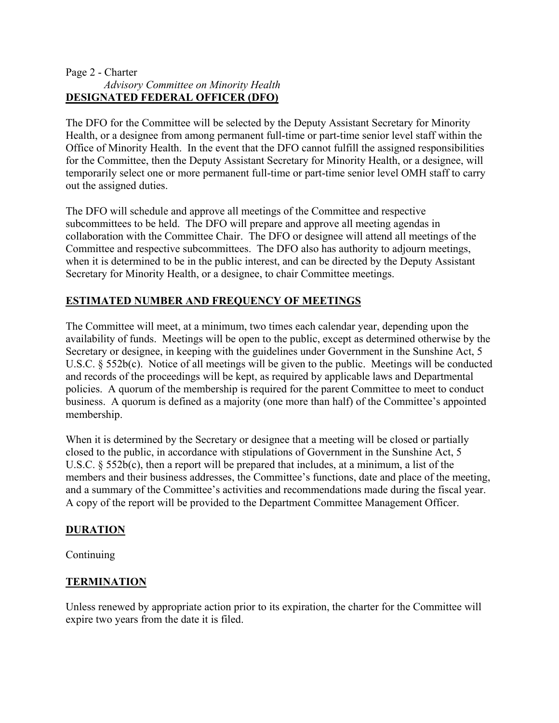#### Page 2 - Charter  *Advisory Committee on Minority Health* **DESIGNATED FEDERAL OFFICER (DFO)**

The DFO for the Committee will be selected by the Deputy Assistant Secretary for Minority Health, or a designee from among permanent full-time or part-time senior level staff within the Office of Minority Health. In the event that the DFO cannot fulfill the assigned responsibilities for the Committee, then the Deputy Assistant Secretary for Minority Health, or a designee, will temporarily select one or more permanent full-time or part-time senior level OMH staff to carry out the assigned duties.

The DFO will schedule and approve all meetings of the Committee and respective subcommittees to be held. The DFO will prepare and approve all meeting agendas in collaboration with the Committee Chair. The DFO or designee will attend all meetings of the Committee and respective subcommittees. The DFO also has authority to adjourn meetings, when it is determined to be in the public interest, and can be directed by the Deputy Assistant Secretary for Minority Health, or a designee, to chair Committee meetings.

# **ESTIMATED NUMBER AND FREQUENCY OF MEETINGS**

The Committee will meet, at a minimum, two times each calendar year, depending upon the availability of funds. Meetings will be open to the public, except as determined otherwise by the Secretary or designee, in keeping with the guidelines under Government in the Sunshine Act, 5 U.S.C. § 552b(c). Notice of all meetings will be given to the public. Meetings will be conducted and records of the proceedings will be kept, as required by applicable laws and Departmental policies. A quorum of the membership is required for the parent Committee to meet to conduct business. A quorum is defined as a majority (one more than half) of the Committee's appointed membership.

When it is determined by the Secretary or designee that a meeting will be closed or partially closed to the public, in accordance with stipulations of Government in the Sunshine Act, 5 U.S.C. § 552b(c), then a report will be prepared that includes, at a minimum, a list of the members and their business addresses, the Committee's functions, date and place of the meeting, and a summary of the Committee's activities and recommendations made during the fiscal year. A copy of the report will be provided to the Department Committee Management Officer.

### **DURATION**

**Continuing** 

### **TERMINATION**

Unless renewed by appropriate action prior to its expiration, the charter for the Committee will expire two years from the date it is filed.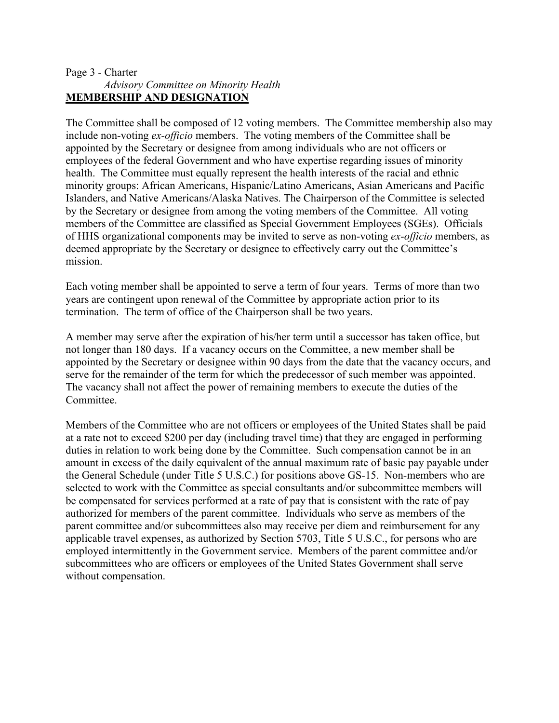### Page 3 - Charter  *Advisory Committee on Minority Health* **MEMBERSHIP AND DESIGNATION**

The Committee shall be composed of 12 voting members. The Committee membership also may include non-voting *ex-officio* members. The voting members of the Committee shall be appointed by the Secretary or designee from among individuals who are not officers or employees of the federal Government and who have expertise regarding issues of minority health. The Committee must equally represent the health interests of the racial and ethnic minority groups: African Americans, Hispanic/Latino Americans, Asian Americans and Pacific Islanders, and Native Americans/Alaska Natives. The Chairperson of the Committee is selected by the Secretary or designee from among the voting members of the Committee. All voting members of the Committee are classified as Special Government Employees (SGEs). Officials of HHS organizational components may be invited to serve as non-voting *ex-officio* members, as deemed appropriate by the Secretary or designee to effectively carry out the Committee's mission.

Each voting member shall be appointed to serve a term of four years. Terms of more than two years are contingent upon renewal of the Committee by appropriate action prior to its termination. The term of office of the Chairperson shall be two years.

A member may serve after the expiration of his/her term until a successor has taken office, but not longer than 180 days. If a vacancy occurs on the Committee, a new member shall be appointed by the Secretary or designee within 90 days from the date that the vacancy occurs, and serve for the remainder of the term for which the predecessor of such member was appointed. The vacancy shall not affect the power of remaining members to execute the duties of the Committee.

Members of the Committee who are not officers or employees of the United States shall be paid at a rate not to exceed \$200 per day (including travel time) that they are engaged in performing duties in relation to work being done by the Committee. Such compensation cannot be in an amount in excess of the daily equivalent of the annual maximum rate of basic pay payable under the General Schedule (under Title 5 U.S.C.) for positions above GS-15. Non-members who are selected to work with the Committee as special consultants and/or subcommittee members will be compensated for services performed at a rate of pay that is consistent with the rate of pay authorized for members of the parent committee. Individuals who serve as members of the parent committee and/or subcommittees also may receive per diem and reimbursement for any applicable travel expenses, as authorized by Section 5703, Title 5 U.S.C., for persons who are employed intermittently in the Government service. Members of the parent committee and/or subcommittees who are officers or employees of the United States Government shall serve without compensation.